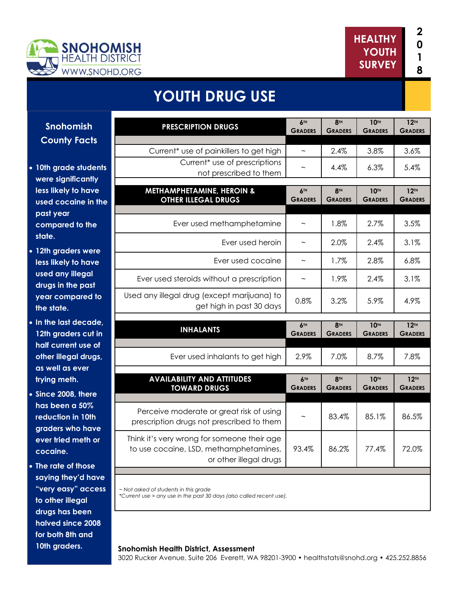



# **YOUTH DRUG USE**

**Snohomish County Facts** 

- **10th grade students were significantly less likely to have used cocaine in the past year compared to the state.**
- **12th graders were less likely to have used any illegal drugs in the past year compared to the state.**
- **In the last decade, 12th graders cut in half current use of other illegal drugs, as well as ever trying meth.**
- **Since 2008, there has been a 50% reduction in 10th graders who have ever tried meth or cocaine.**
- **The rate of those saying they'd have "very easy" access to other illegal drugs has been halved since 2008 for both 8th and 10th graders.**

| <b>PRESCRIPTION DRUGS</b>                                                                                       | 6TH<br><b>GRADERS</b>             | <b>8TH</b><br><b>GRADERS</b> | <b>10TH</b><br><b>GRADERS</b> | 12 <sup>TH</sup><br><b>GRADERS</b> |
|-----------------------------------------------------------------------------------------------------------------|-----------------------------------|------------------------------|-------------------------------|------------------------------------|
| Current* use of painkillers to get high                                                                         |                                   | 2.4%                         | 3.8%                          | 3.6%                               |
| Current <sup>*</sup> use of prescriptions<br>not prescribed to them                                             |                                   | 4.4%                         | 6.3%                          | 5.4%                               |
| <b>METHAMPHETAMINE, HEROIN &amp;</b><br><b>OTHER ILLEGAL DRUGS</b>                                              | 6TH<br><b>GRADERS</b>             | <b>8TH</b><br><b>GRADERS</b> | <b>10TH</b><br><b>GRADERS</b> | 12 <sup>TH</sup><br><b>GRADERS</b> |
| Ever used methamphetamine                                                                                       | $\widetilde{\phantom{m}}$         | 1.8%                         | 2.7%                          | 3.5%                               |
| Ever used heroin                                                                                                | $\tilde{}$                        | 2.0%                         | 2.4%                          | 3.1%                               |
| Ever used cocaine                                                                                               | $\tilde{\phantom{a}}$             | 1.7%                         | 2.8%                          | 6.8%                               |
| Ever used steroids without a prescription                                                                       | $\tilde{}$                        | 1.9%                         | 2.4%                          | 3.1%                               |
| Used any illegal drug (except marijuana) to<br>get high in past 30 days                                         | 0.8%                              | 3.2%                         | 5.9%                          | 4.9%                               |
|                                                                                                                 |                                   |                              |                               |                                    |
|                                                                                                                 |                                   |                              |                               |                                    |
| <b>INHALANTS</b>                                                                                                | A <sub>TH</sub><br><b>GRADERS</b> | <b>8TH</b><br><b>GRADERS</b> | <b>10TH</b><br><b>GRADERS</b> | 12 <sup>TH</sup><br><b>GRADERS</b> |
| Ever used inhalants to get high                                                                                 | 2.9%                              | 7.0%                         | 8.7%                          | 7.8%                               |
| <b>AVAILABILITY AND ATTITUDES</b><br><b>TOWARD DRUGS</b>                                                        | <b>6TH</b><br><b>GRADERS</b>      | <b>8TH</b><br><b>GRADERS</b> | <b>10TH</b><br><b>GRADERS</b> | 12 <sup>TH</sup><br><b>GRADERS</b> |
| Perceive moderate or great risk of using<br>prescription drugs not prescribed to them                           | $\tilde{}$                        | 83.4%                        | 85.1%                         | 86.5%                              |
| Think it's very wrong for someone their age<br>to use cocaine, LSD, methamphetamines,<br>or other illegal drugs | 93.4%                             | 86.2%                        | 77.4%                         | 72.0%                              |
|                                                                                                                 |                                   |                              |                               |                                    |

#### **Snohomish Health District, Assessment**

3020 Rucker Avenue, Suite 206 Everett, WA 98201-3900 • healthstats@snohd.org • 425.252.8856